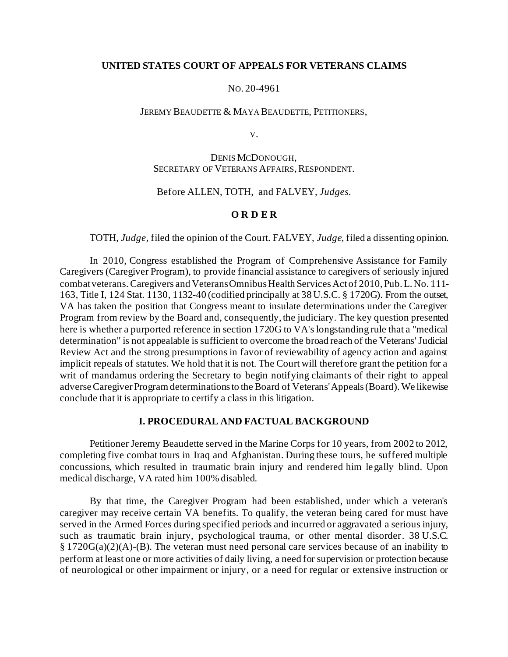### **UNITED STATES COURT OF APPEALS FOR VETERANS CLAIMS**

#### NO. 20-4961

#### JEREMY BEAUDETTE & MAYA BEAUDETTE, PETITIONERS,

V.

# DENIS MCDONOUGH, SECRETARY OF VETERANS AFFAIRS, RESPONDENT.

# Before ALLEN, TOTH, and FALVEY, *Judges.*

### **O R D E R**

#### TOTH, *Judge*, filed the opinion of the Court. FALVEY, *Judge*, filed a dissenting opinion.

In 2010, Congress established the Program of Comprehensive Assistance for Family Caregivers (Caregiver Program), to provide financial assistance to caregivers of seriously injured combat veterans. Caregivers and Veterans Omnibus Health Services Act of 2010, Pub. L. No. 111- 163, Title I, 124 Stat. 1130, 1132-40 (codified principally at 38 U.S.C. § 1720G). From the outset, VA has taken the position that Congress meant to insulate determinations under the Caregiver Program from review by the Board and, consequently, the judiciary. The key question presented here is whether a purported reference in section 1720G to VA's longstanding rule that a "medical determination" is not appealable is sufficient to overcome the broad reach of the Veterans' Judicial Review Act and the strong presumptions in favor of reviewability of agency action and against implicit repeals of statutes. We hold that it is not. The Court will therefore grant the petition for a writ of mandamus ordering the Secretary to begin notifying claimants of their right to appeal adverse Caregiver Program determinations to the Board of Veterans'Appeals (Board). We likewise conclude that it is appropriate to certify a class in this litigation.

#### **I. PROCEDURAL AND FACTUAL BACKGROUND**

Petitioner Jeremy Beaudette served in the Marine Corps for 10 years, from 2002 to 2012, completing five combat tours in Iraq and Afghanistan. During these tours, he suffered multiple concussions, which resulted in traumatic brain injury and rendered him legally blind. Upon medical discharge, VA rated him 100% disabled.

By that time, the Caregiver Program had been established, under which a veteran's caregiver may receive certain VA benefits. To qualify, the veteran being cared for must have served in the Armed Forces during specified periods and incurred or aggravated a serious injury, such as traumatic brain injury, psychological trauma, or other mental disorder. 38 U.S.C. § 1720G(a)(2)(A)-(B). The veteran must need personal care services because of an inability to perform at least one or more activities of daily living, a need for supervision or protection because of neurological or other impairment or injury, or a need for regular or extensive instruction or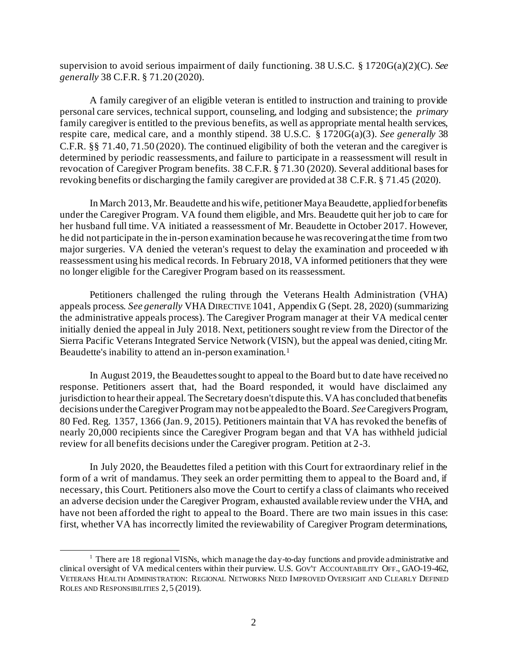supervision to avoid serious impairment of daily functioning. 38 U.S.C. § 1720G(a)(2)(C). *See generally* 38 C.F.R. § 71.20 (2020).

A family caregiver of an eligible veteran is entitled to instruction and training to provide personal care services, technical support, counseling, and lodging and subsistence; the *primary* family caregiver is entitled to the previous benefits, as well as appropriate mental health services, respite care, medical care, and a monthly stipend. 38 U.S.C. § 1720G(a)(3). *See generally* 38 C.F.R. §§ 71.40, 71.50 (2020). The continued eligibility of both the veteran and the caregiver is determined by periodic reassessments, and failure to participate in a reassessment will result in revocation of Caregiver Program benefits. 38 C.F.R. § 71.30 (2020). Several additional bases for revoking benefits or discharging the family caregiver are provided at 38 C.F.R. § 71.45 (2020).

In March 2013, Mr. Beaudette and his wife, petitioner Maya Beaudette, applied for benefits under the Caregiver Program. VA found them eligible, and Mrs. Beaudette quit her job to care for her husband full time. VA initiated a reassessment of Mr. Beaudette in October 2017. However, he did not participate in the in-person examination because he was recovering at the time from two major surgeries. VA denied the veteran's request to delay the examination and proceeded with reassessment using his medical records. In February 2018, VA informed petitioners that they were no longer eligible for the Caregiver Program based on its reassessment.

Petitioners challenged the ruling through the Veterans Health Administration (VHA) appeals process. *See generally* VHA DIRECTIVE 1041, Appendix G (Sept. 28, 2020) (summarizing the administrative appeals process). The Caregiver Program manager at their VA medical center initially denied the appeal in July 2018. Next, petitioners sought review from the Director of the Sierra Pacific Veterans Integrated Service Network (VISN), but the appeal was denied, citing Mr. Beaudette's inability to attend an in-person examination.<sup>1</sup>

In August 2019, the Beaudettes sought to appeal to the Board but to date have received no response. Petitioners assert that, had the Board responded, it would have disclaimed any jurisdiction to hear their appeal. The Secretary doesn't dispute this. VA has concluded that benefits decisions under the Caregiver Program may not be appealed to the Board. *See*Caregivers Program, 80 Fed. Reg. 1357, 1366 (Jan. 9, 2015). Petitioners maintain that VA has revoked the benefits of nearly 20,000 recipients since the Caregiver Program began and that VA has withheld judicial review for all benefits decisions under the Caregiver program. Petition at 2-3.

In July 2020, the Beaudettes filed a petition with this Court for extraordinary relief in the form of a writ of mandamus. They seek an order permitting them to appeal to the Board and, if necessary, this Court. Petitioners also move the Court to certify a class of claimants who received an adverse decision under the Caregiver Program, exhausted available review under the VHA, and have not been afforded the right to appeal to the Board. There are two main issues in this case: first, whether VA has incorrectly limited the reviewability of Caregiver Program determinations,

<sup>&</sup>lt;sup>1</sup> There are 18 regional VISNs, which manage the day-to-day functions and provide administrative and clinical oversight of VA medical centers within their purview. U.S. GOV'T ACCOUNTABILITY OFF., GAO-19-462, VETERANS HEALTH ADMINISTRATION: REGIONAL NETWORKS NEED IMPROVED OVERSIGHT AND CLEARLY DEFINED ROLES AND RESPONSIBILITIES 2, 5 (2019).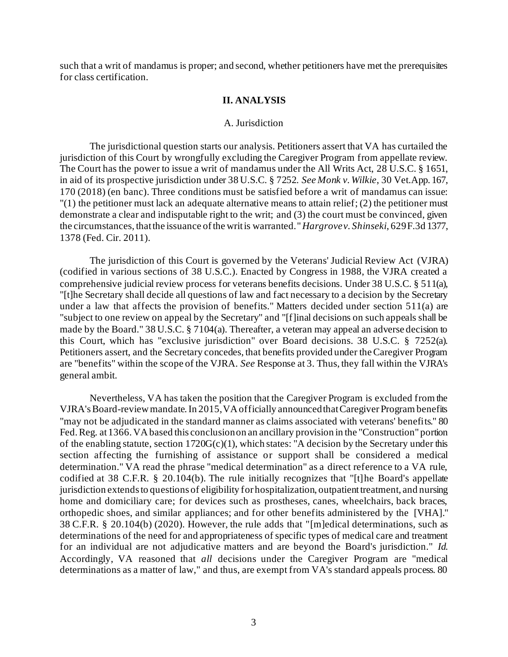such that a writ of mandamus is proper; and second, whether petitioners have met the prerequisites for class certification.

### **II. ANALYSIS**

#### A. Jurisdiction

The jurisdictional question starts our analysis. Petitioners assert that VA has curtailed the jurisdiction of this Court by wrongfully excluding the Caregiver Program from appellate review. The Court has the power to issue a writ of mandamus under the All Writs Act, 28 U.S.C. § 1651, in aid of its prospective jurisdiction under 38 U.S.C. § 7252. *See Monk v. Wilkie*, 30 Vet.App. 167, 170 (2018) (en banc). Three conditions must be satisfied before a writ of mandamus can issue:  $''(1)$  the petitioner must lack an adequate alternative means to attain relief; (2) the petitioner must demonstrate a clear and indisputable right to the writ; and (3) the court must be convinced, given the circumstances, that the issuance of the writ is warranted." *Hargrove v. Shinseki*, 629 F.3d 1377, 1378 (Fed. Cir. 2011).

The jurisdiction of this Court is governed by the Veterans' Judicial Review Act (VJRA) (codified in various sections of 38 U.S.C.). Enacted by Congress in 1988, the VJRA created a comprehensive judicial review process for veterans benefits decisions. Under 38 U.S.C. § 511(a), "[t]he Secretary shall decide all questions of law and fact necessary to a decision by the Secretary under a law that affects the provision of benefits." Matters decided under section 511(a) are "subject to one review on appeal by the Secretary" and "[f]inal decisions on such appeals shall be made by the Board." 38 U.S.C. § 7104(a). Thereafter, a veteran may appeal an adverse decision to this Court, which has "exclusive jurisdiction" over Board decisions. 38 U.S.C. § 7252(a). Petitioners assert, and the Secretary concedes, that benefits provided under the Caregiver Program are "benefits" within the scope of the VJRA. *See* Response at 3. Thus, they fall within the VJRA's general ambit.

Nevertheless, VA has taken the position that the Caregiver Program is excluded from the VJRA's Board-review mandate. In 2015, VA officially announced that Caregiver Program benefits "may not be adjudicated in the standard manner as claims associated with veterans' benefits." 80 Fed. Reg. at 1366. VA based this conclusion on an ancillary provision in the "Construction" portion of the enabling statute, section  $1720G(c)(1)$ , which states: "A decision by the Secretary under this section affecting the furnishing of assistance or support shall be considered a medical determination." VA read the phrase "medical determination" as a direct reference to a VA rule, codified at 38 C.F.R. § 20.104(b). The rule initially recognizes that "[t]he Board's appellate jurisdiction extends to questions of eligibility for hospitalization, outpatient treatment, and nursing home and domiciliary care; for devices such as prostheses, canes, wheelchairs, back braces, orthopedic shoes, and similar appliances; and for other benefits administered by the [VHA]." 38 C.F.R. § 20.104(b) (2020). However, the rule adds that "[m]edical determinations, such as determinations of the need for and appropriateness of specific types of medical care and treatment for an individual are not adjudicative matters and are beyond the Board's jurisdiction." *Id.* Accordingly, VA reasoned that *all* decisions under the Caregiver Program are "medical determinations as a matter of law," and thus, are exempt from VA's standard appeals process. 80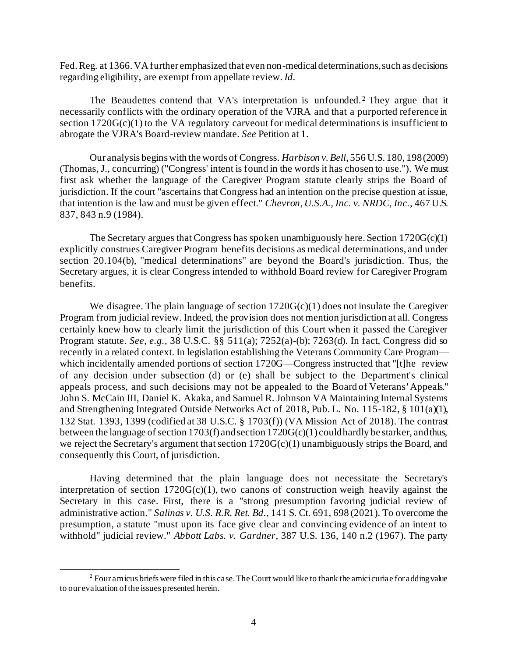Fed. Reg. at 1366. VA further emphasized that even non-medical determinations, such as decisions regarding eligibility, are exempt from appellate review. *Id.* 

The Beaudettes contend that VA's interpretation is unfounded. <sup>2</sup> They argue that it necessarily conflicts with the ordinary operation of the VJRA and that a purported reference in section  $1720G(c)(1)$  to the VA regulatory carveout for medical determinations is insufficient to abrogate the VJRA's Board-review mandate. *See* Petition at 1.

Our analysis begins with the words of Congress. *Harbison v. Bell*, 556 U.S. 180, 198 (2009) (Thomas, J., concurring) ("Congress' intent is found in the words it has chosen to use."). We must first ask whether the language of the Caregiver Program statute clearly strips the Board of jurisdiction. If the court "ascertains that Congress had an intention on the precise question at issue, that intention is the law and must be given effect." *Chevron, U.S.A., Inc. v. NRDC, Inc.*, 467 U.S. 837, 843 n.9 (1984).

The Secretary argues that Congress has spoken unambiguously here. Section  $1720G(c)(1)$ explicitly construes Caregiver Program benefits decisions as medical determinations, and under section 20.104(b), "medical determinations" are beyond the Board's jurisdiction. Thus, the Secretary argues, it is clear Congress intended to withhold Board review for Caregiver Program benefits.

We disagree. The plain language of section  $1720G(c)(1)$  does not insulate the Caregiver Program from judicial review. Indeed, the provision does not mention jurisdiction at all. Congress certainly knew how to clearly limit the jurisdiction of this Court when it passed the Caregiver Program statute. *See, e.g.*, 38 U.S.C. §§ 511(a); 7252(a)-(b); 7263(d). In fact, Congress did so recently in a related context. In legislation establishing the Veterans Community Care Program which incidentally amended portions of section 1720G—Congress instructed that "[t]he review of any decision under subsection (d) or (e) shall be subject to the Department's clinical appeals process, and such decisions may not be appealed to the Board of Veterans' Appeals." John S. McCain III, Daniel K. Akaka, and Samuel R. Johnson VA Maintaining Internal Systems and Strengthening Integrated Outside Networks Act of 2018, Pub. L. No. 115-182, § 101(a)(1), 132 Stat. 1393, 1399 (codified at 38 U.S.C. § 1703(f)) (VA Mission Act of 2018). The contrast between the language of section 1703(f) and section 1720G(c)(1) could hardly be starker, and thus, we reject the Secretary's argument that section 1720G(c)(1) unambiguously strips the Board, and consequently this Court, of jurisdiction.

Having determined that the plain language does not necessitate the Secretary's interpretation of section  $1720G(c)(1)$ , two canons of construction weigh heavily against the Secretary in this case. First, there is a "strong presumption favoring judicial review of administrative action." *Salinas v. U.S. R.R. Ret. Bd.*, 141 S. Ct. 691, 698 (2021). To overcome the presumption, a statute "must upon its face give clear and convincing evidence of an intent to withhold" judicial review." *Abbott Labs. v. Gardner*, 387 U.S. 136, 140 n.2 (1967). The party

 $2$  Four amicus briefs were filed in this case. The Court would like to thank the amici curiae for adding value to our evaluation of the issues presented herein.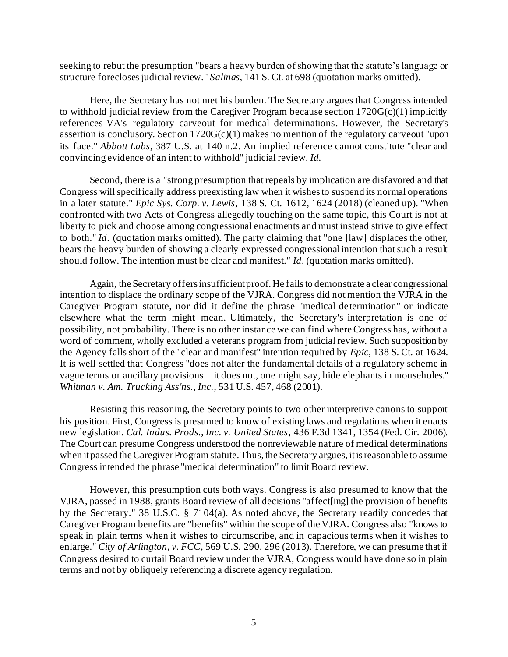seeking to rebut the presumption "bears a heavy burden of showing that the statute's language or structure forecloses judicial review." *Salinas*, 141 S. Ct. at 698 (quotation marks omitted).

Here, the Secretary has not met his burden. The Secretary argues that Congress intended to withhold judicial review from the Caregiver Program because section  $1720G(c)(1)$  implicitly references VA's regulatory carveout for medical determinations. However, the Secretary's assertion is conclusory. Section  $1720G(c)(1)$  makes no mention of the regulatory carveout "upon its face." *Abbott Labs*, 387 U.S. at 140 n.2. An implied reference cannot constitute "clear and convincing evidence of an intent to withhold" judicial review. *Id.* 

Second, there is a "strong presumption that repeals by implication are disfavored and that Congress will specifically address preexisting law when it wishes to suspend its normal operations in a later statute." *Epic Sys. Corp. v. Lewis*, 138 S. Ct. 1612, 1624 (2018) (cleaned up). "When confronted with two Acts of Congress allegedly touching on the same topic, this Court is not at liberty to pick and choose among congressional enactments and must instead strive to give effect to both." *Id*. (quotation marks omitted). The party claiming that "one [law] displaces the other, bears the heavy burden of showing a clearly expressed congressional intention that such a result should follow. The intention must be clear and manifest." *Id*. (quotation marks omitted).

Again, the Secretary offers insufficient proof. He fails to demonstrate a clear congressional intention to displace the ordinary scope of the VJRA. Congress did not mention the VJRA in the Caregiver Program statute, nor did it define the phrase "medical determination" or indicate elsewhere what the term might mean. Ultimately, the Secretary's interpretation is one of possibility, not probability. There is no other instance we can find where Congress has, without a word of comment, wholly excluded a veterans program from judicial review. Such supposition by the Agency falls short of the "clear and manifest" intention required by *Epic*, 138 S. Ct. at 1624. It is well settled that Congress "does not alter the fundamental details of a regulatory scheme in vague terms or ancillary provisions—it does not, one might say, hide elephants in mouseholes." *Whitman v. Am. Trucking Ass'ns., Inc.*, 531 U.S. 457, 468 (2001).

Resisting this reasoning, the Secretary points to two other interpretive canons to support his position. First, Congress is presumed to know of existing laws and regulations when it enacts new legislation. *Cal. Indus. Prods., Inc. v. United States*, 436 F.3d 1341, 1354 (Fed. Cir. 2006). The Court can presume Congress understood the nonreviewable nature of medical determinations when it passed the Caregiver Program statute. Thus, the Secretary argues, it is reasonable to assume Congress intended the phrase "medical determination" to limit Board review.

However, this presumption cuts both ways. Congress is also presumed to know that the VJRA, passed in 1988, grants Board review of all decisions "affect[ing] the provision of benefits by the Secretary." 38 U.S.C. § 7104(a). As noted above, the Secretary readily concedes that Caregiver Program benefits are "benefits" within the scope of the VJRA. Congress also "knows to speak in plain terms when it wishes to circumscribe, and in capacious terms when it wishes to enlarge." *City of Arlington, v. FCC*, 569 U.S. 290, 296 (2013). Therefore, we can presume that if Congress desired to curtail Board review under the VJRA, Congress would have done so in plain terms and not by obliquely referencing a discrete agency regulation.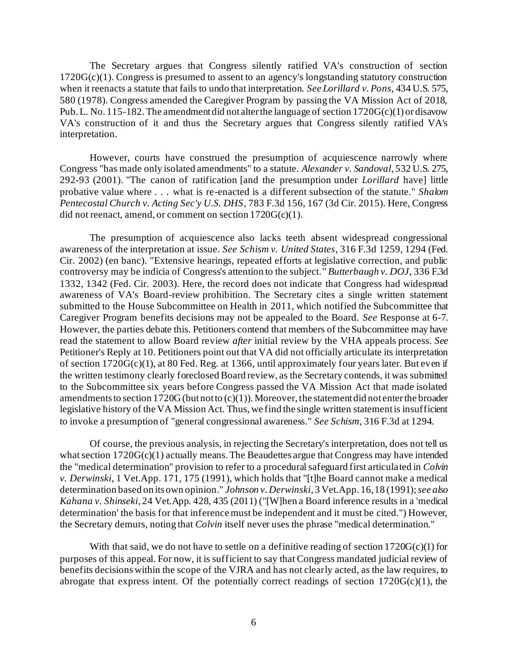The Secretary argues that Congress silently ratified VA's construction of section  $1720G(c)(1)$ . Congress is presumed to assent to an agency's longstanding statutory construction when it reenacts a statute that fails to undo that interpretation. *See Lorillard v. Pons*, 434 U.S. 575, 580 (1978). Congress amended the Caregiver Program by passing the VA Mission Act of 2018, Pub. L. No. 115-182. The amendment did not alter the language of section 1720G(c)(1) or disavow VA's construction of it and thus the Secretary argues that Congress silently ratified VA's interpretation.

However, courts have construed the presumption of acquiescence narrowly where Congress "has made only isolated amendments" to a statute. *Alexander v. Sandoval*, 532 U.S. 275, 292-93 (2001). "The canon of ratification [and the presumption under *Lorillard* have] little probative value where . . . what is re-enacted is a different subsection of the statute." *Shalom Pentecostal Church v. Acting Sec'y U.S. DHS*, 783 F.3d 156, 167 (3d Cir. 2015). Here, Congress did not reenact, amend, or comment on section  $1720G(c)(1)$ .

The presumption of acquiescence also lacks teeth absent widespread congressional awareness of the interpretation at issue. *See Schism v. United States*, 316 F.3d 1259, 1294 (Fed. Cir. 2002) (en banc). "Extensive hearings, repeated efforts at legislative correction, and public controversy may be indicia of Congress's attention to the subject." *Butterbaugh v. DOJ*, 336 F.3d 1332, 1342 (Fed. Cir. 2003). Here, the record does not indicate that Congress had widespread awareness of VA's Board-review prohibition. The Secretary cites a single written statement submitted to the House Subcommittee on Health in 2011, which notified the Subcommittee that Caregiver Program benefits decisions may not be appealed to the Board. *See* Response at 6-7. However, the parties debate this. Petitioners contend that members of the Subcommittee may have read the statement to allow Board review *after* initial review by the VHA appeals process. *See*  Petitioner's Reply at 10. Petitioners point out that VA did not officially articulate its interpretation of section 1720G(c)(1), at 80 Fed. Reg. at 1366, until approximately four years later. But even if the written testimony clearly foreclosed Board review, as the Secretary contends, it was submitted to the Subcommittee six years before Congress passed the VA Mission Act that made isolated amendments to section 1720G (but not to  $(c)(1)$ ). Moreover, the statement did not enter the broader legislative history of the VA Mission Act. Thus, we find the single written statement is insufficient to invoke a presumption of "general congressional awareness." *See Schism*, 316 F.3d at 1294.

Of course, the previous analysis, in rejecting the Secretary's interpretation, does not tell us what section 1720G(c)(1) actually means. The Beaudettes argue that Congress may have intended the "medical determination" provision to refer to a procedural safeguard first articulated in *Colvin v. Derwinski*, 1 Vet.App. 171, 175 (1991), which holds that "[t]he Board cannot make a medical determination based on its own opinion." *Johnson v. Derwinski*, 3 Vet.App. 16, 18 (1991); *see also Kahana v. Shinseki*, 24 Vet.App. 428, 435 (2011) ("[W]hen a Board inference results in a 'medical determination' the basis for that inference must be independent and it must be cited.") However, the Secretary demurs, noting that *Colvin* itself never uses the phrase "medical determination."

With that said, we do not have to settle on a definitive reading of section  $1720G(c)(1)$  for purposes of this appeal. For now, it is sufficient to say that Congress mandated judicial review of benefits decisions within the scope of the VJRA and has not clearly acted, as the law requires, to abrogate that express intent. Of the potentially correct readings of section  $1720G(c)(1)$ , the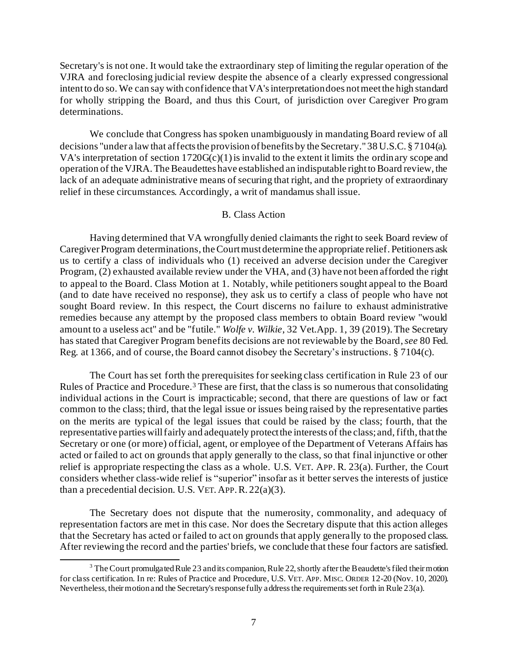Secretary's is not one. It would take the extraordinary step of limiting the regular operation of the VJRA and foreclosing judicial review despite the absence of a clearly expressed congressional intent to do so. We can say with confidence that VA's interpretation does not meet the high standard for wholly stripping the Board, and thus this Court, of jurisdiction over Caregiver Pro gram determinations.

We conclude that Congress has spoken unambiguously in mandating Board review of all decisions "under a law that affects the provision of benefits by the Secretary." 38 U.S.C. § 7104(a). VA's interpretation of section  $1720G(c)(1)$  is invalid to the extent it limits the ordinary scope and operation of the VJRA. The Beaudettes have established an indisputable right to Board review, the lack of an adequate administrative means of securing that right, and the propriety of extraordinary relief in these circumstances. Accordingly, a writ of mandamus shall issue.

## B. Class Action

Having determined that VA wrongfully denied claimants the right to seek Board review of Caregiver Program determinations, the Court must determine the appropriate relief. Petitioners ask us to certify a class of individuals who (1) received an adverse decision under the Caregiver Program, (2) exhausted available review under the VHA, and (3) have not been afforded the right to appeal to the Board. Class Motion at 1. Notably, while petitioners sought appeal to the Board (and to date have received no response), they ask us to certify a class of people who have not sought Board review. In this respect, the Court discerns no failure to exhaust administrative remedies because any attempt by the proposed class members to obtain Board review "would amount to a useless act" and be "futile." *Wolfe v. Wilkie*, 32 Vet.App. 1, 39 (2019). The Secretary has stated that Caregiver Program benefits decisions are not reviewable by the Board, *see* 80 Fed. Reg. at 1366, and of course, the Board cannot disobey the Secretary's instructions. § 7104(c).

The Court has set forth the prerequisites for seeking class certification in Rule 23 of our Rules of Practice and Procedure.<sup>3</sup> These are first, that the class is so numerous that consolidating individual actions in the Court is impracticable; second, that there are questions of law or fact common to the class; third, that the legal issue or issues being raised by the representative parties on the merits are typical of the legal issues that could be raised by the class; fourth, that the representative parties will fairly and adequately protect the interests of the class; and, fifth, that the Secretary or one (or more) official, agent, or employee of the Department of Veterans Affairs has acted or failed to act on grounds that apply generally to the class, so that final injunctive or other relief is appropriate respecting the class as a whole. U.S. VET. APP. R*.* 23(a). Further, the Court considers whether class-wide relief is "superior" insofar as it better serves the interests of justice than a precedential decision. U.S. VET. APP.R. 22(a)(3).

The Secretary does not dispute that the numerosity, commonality, and adequacy of representation factors are met in this case. Nor does the Secretary dispute that this action alleges that the Secretary has acted or failed to act on grounds that apply generally to the proposed class. After reviewing the record and the parties' briefs, we conclude that these four factors are satisfied.

<sup>&</sup>lt;sup>3</sup> The Court promulgated Rule 23 and its companion, Rule 22, shortly after the Beaudette's filed their motion for class certification. In re: Rules of Practice and Procedure, U.S. VET. APP. MISC. ORDER 12-20 (Nov. 10, 2020). Nevertheless, their motion and the Secretary's response fully address the requirements set forth in Rule 23(a).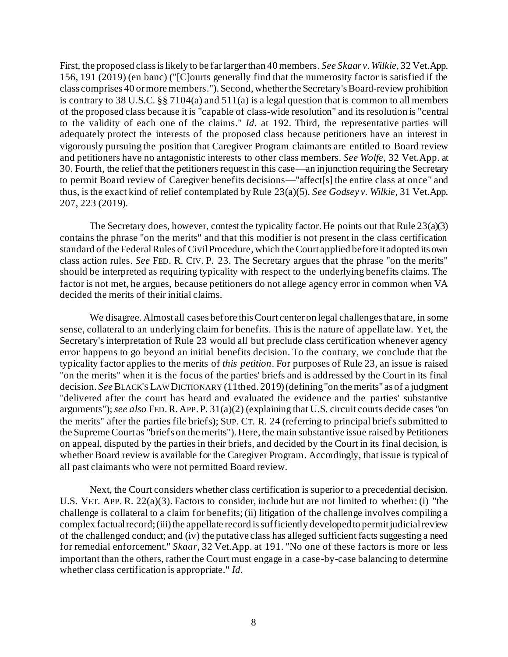First, the proposed class is likely to be far larger than 40 members. *See Skaar v. Wilkie,* 32 Vet.App. 156, 191 (2019) (en banc) ("[C]ourts generally find that the numerosity factor is satisfied if the class comprises 40 or more members."). Second, whether the Secretary's Board-review prohibition is contrary to 38 U.S.C.  $\S$   $\frac{8}{3}$  7104(a) and 511(a) is a legal question that is common to all members of the proposed class because it is "capable of class-wide resolution" and its resolution is "central to the validity of each one of the claims." *Id.* at 192. Third, the representative parties will adequately protect the interests of the proposed class because petitioners have an interest in vigorously pursuing the position that Caregiver Program claimants are entitled to Board review and petitioners have no antagonistic interests to other class members. *See Wolfe*, 32 Vet.App. at 30. Fourth, the relief that the petitioners request in this case—an injunction requiring the Secretary to permit Board review of Caregiver benefits decisions—"affect[s] the entire class at once" and thus, is the exact kind of relief contemplated by Rule 23(a)(5). *See Godsey v. Wilkie*, 31 Vet.App. 207, 223 (2019).

The Secretary does, however, contest the typicality factor. He points out that Rule  $23(a)(3)$ contains the phrase "on the merits" and that this modifier is not present in the class certification standard of the Federal Rules of Civil Procedure, which the Court applied before it adopted its own class action rules. *See* FED. R. CIV. P. 23. The Secretary argues that the phrase "on the merits" should be interpreted as requiring typicality with respect to the underlying benefits claims. The factor is not met, he argues, because petitioners do not allege agency error in common when VA decided the merits of their initial claims.

We disagree. Almost all cases before this Court center on legal challenges that are, in some sense, collateral to an underlying claim for benefits. This is the nature of appellate law. Yet, the Secretary's interpretation of Rule 23 would all but preclude class certification whenever agency error happens to go beyond an initial benefits decision. To the contrary, we conclude that the typicality factor applies to the merits of *this petition*. For purposes of Rule 23, an issue is raised "on the merits" when it is the focus of the parties' briefs and is addressed by the Court in its final decision. *See* BLACK'S LAW DICTIONARY (11th ed. 2019) (defining "on the merits" as of a judgment "delivered after the court has heard and evaluated the evidence and the parties' substantive arguments"); *see also* FED.R. APP. P. 31(a)(2) (explaining that U.S. circuit courts decide cases "on the merits" after the parties file briefs); SUP. CT. R. 24 (referring to principal briefs submitted to the Supreme Court as "briefs on the merits"). Here, the main substantive issue raised by Petitioners on appeal, disputed by the parties in their briefs, and decided by the Court in its final decision, is whether Board review is available for the Caregiver Program. Accordingly, that issue is typical of all past claimants who were not permitted Board review.

Next, the Court considers whether class certification is superior to a precedential decision. U.S. VET. APP. R. 22(a)(3). Factors to consider, include but are not limited to whether: (i) "the challenge is collateral to a claim for benefits; (ii) litigation of the challenge involves compiling a complex factual record; (iii) the appellate record is sufficiently developed to permit judicial review of the challenged conduct; and (iv) the putative class has alleged sufficient facts suggesting a need for remedial enforcement." *Skaar*, 32 Vet.App. at 191. "No one of these factors is more or less important than the others, rather the Court must engage in a case-by-case balancing to determine whether class certification is appropriate." *Id.*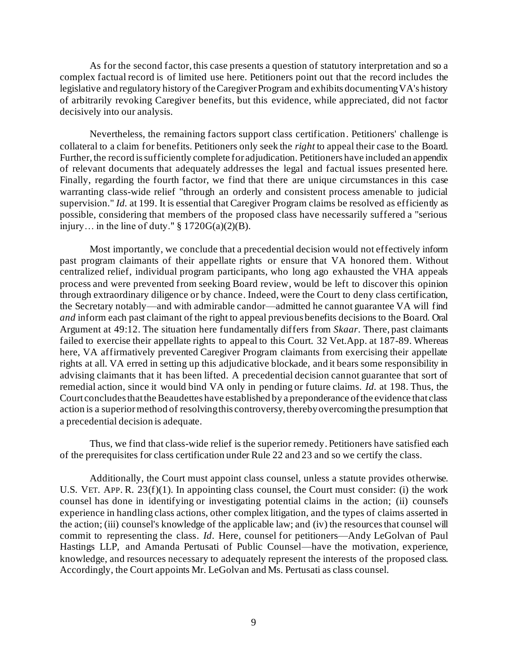As for the second factor, this case presents a question of statutory interpretation and so a complex factual record is of limited use here. Petitioners point out that the record includes the legislative and regulatory history of the Caregiver Program and exhibits documenting VA's history of arbitrarily revoking Caregiver benefits, but this evidence, while appreciated, did not factor decisively into our analysis.

Nevertheless, the remaining factors support class certification. Petitioners' challenge is collateral to a claim for benefits. Petitioners only seek the *right* to appeal their case to the Board. Further, the record is sufficiently complete for adjudication. Petitioners have included an appendix of relevant documents that adequately addresses the legal and factual issues presented here. Finally, regarding the fourth factor, we find that there are unique circumstances in this case warranting class-wide relief "through an orderly and consistent process amenable to judicial supervision." *Id.* at 199. It is essential that Caregiver Program claims be resolved as efficiently as possible, considering that members of the proposed class have necessarily suffered a "serious injury... in the line of duty."  $\S 1720G(a)(2)(B)$ .

Most importantly, we conclude that a precedential decision would not effectively inform past program claimants of their appellate rights or ensure that VA honored them. Without centralized relief, individual program participants, who long ago exhausted the VHA appeals process and were prevented from seeking Board review, would be left to discover this opinion through extraordinary diligence or by chance. Indeed, were the Court to deny class certification, the Secretary notably—and with admirable candor—admitted he cannot guarantee VA will find *and* inform each past claimant of the right to appeal previous benefits decisions to the Board. Oral Argument at 49:12*.* The situation here fundamentally differs from *Skaar*. There, past claimants failed to exercise their appellate rights to appeal to this Court. 32 Vet.App. at 187-89. Whereas here, VA affirmatively prevented Caregiver Program claimants from exercising their appellate rights at all. VA erred in setting up this adjudicative blockade, and it bears some responsibility in advising claimants that it has been lifted. A precedential decision cannot guarantee that sort of remedial action, since it would bind VA only in pending or future claims. *Id.* at 198. Thus, the Court concludes that the Beaudettes have established by a preponderance of the evidence that class action is a superior method of resolving this controversy, thereby overcoming the presumption that a precedential decision is adequate.

Thus, we find that class-wide relief is the superior remedy. Petitioners have satisfied each of the prerequisites for class certification under Rule 22 and 23 and so we certify the class.

Additionally, the Court must appoint class counsel, unless a statute provides otherwise. U.S. VET. APP. R. 23(f)(1). In appointing class counsel, the Court must consider: (i) the work counsel has done in identifying or investigating potential claims in the action; (ii) counsel's experience in handling class actions, other complex litigation, and the types of claims asserted in the action; (iii) counsel's knowledge of the applicable law; and (iv) the resources that counsel will commit to representing the class. *Id*. Here, counsel for petitioners—Andy LeGolvan of Paul Hastings LLP, and Amanda Pertusati of Public Counsel—have the motivation, experience, knowledge, and resources necessary to adequately represent the interests of the proposed class. Accordingly, the Court appoints Mr. LeGolvan and Ms. Pertusati as class counsel.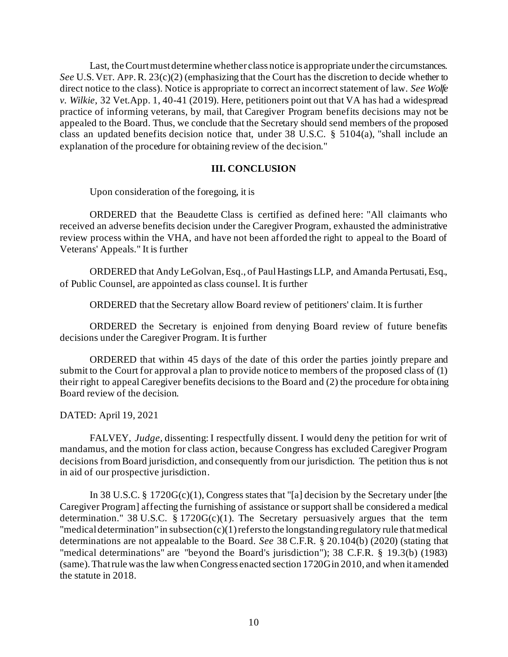Last, the Court must determine whether class notice is appropriate under the circumstances. *See* U.S. VET. APP.R. 23(c)(2) (emphasizing that the Court has the discretion to decide whether to direct notice to the class). Notice is appropriate to correct an incorrect statement of law. *See Wolfe v. Wilkie*, 32 Vet.App. 1, 40-41 (2019). Here, petitioners point out that VA has had a widespread practice of informing veterans, by mail, that Caregiver Program benefits decisions may not be appealed to the Board. Thus, we conclude that the Secretary should send members of the proposed class an updated benefits decision notice that, under 38 U.S.C. § 5104(a), "shall include an explanation of the procedure for obtaining review of the decision."

# **III. CONCLUSION**

Upon consideration of the foregoing, it is

ORDERED that the Beaudette Class is certified as defined here: "All claimants who received an adverse benefits decision under the Caregiver Program, exhausted the administrative review process within the VHA, and have not been afforded the right to appeal to the Board of Veterans' Appeals." It is further

ORDERED that Andy LeGolvan, Esq., of Paul Hastings LLP, and Amanda Pertusati, Esq., of Public Counsel, are appointed as class counsel. It is further

ORDERED that the Secretary allow Board review of petitioners' claim. It is further

ORDERED the Secretary is enjoined from denying Board review of future benefits decisions under the Caregiver Program. It is further

ORDERED that within 45 days of the date of this order the parties jointly prepare and submit to the Court for approval a plan to provide notice to members of the proposed class of (1) their right to appeal Caregiver benefits decisions to the Board and (2) the procedure for obta ining Board review of the decision.

DATED: April 19, 2021

FALVEY, *Judge*, dissenting: I respectfully dissent. I would deny the petition for writ of mandamus, and the motion for class action, because Congress has excluded Caregiver Program decisions from Board jurisdiction, and consequently from our jurisdiction. The petition thus is not in aid of our prospective jurisdiction.

In 38 U.S.C. § 1720G(c)(1), Congress states that "[a] decision by the Secretary under [the Caregiver Program] affecting the furnishing of assistance or support shall be considered a medical determination." 38 U.S.C.  $\S 1720G(c)(1)$ . The Secretary persuasively argues that the term "medical determination" in subsection  $(c)(1)$  refers to the longstanding regulatory rule that medical determinations are not appealable to the Board. *See* 38 C.F.R. § 20.104(b) (2020) (stating that "medical determinations" are "beyond the Board's jurisdiction"); 38 C.F.R. § 19.3(b) (1983) (same). That rule was the law when Congress enacted section 1720G in 2010, and when it amended the statute in 2018.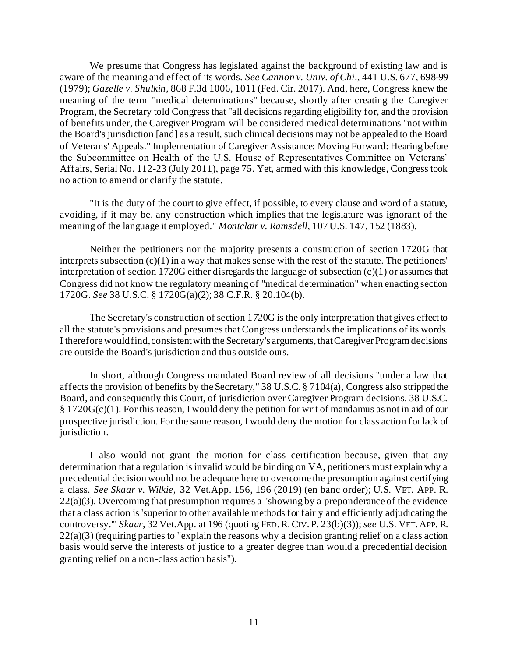We presume that Congress has legislated against the background of existing law and is aware of the meaning and effect of its words. *See Cannon v. Univ. of Chi*., 441 U.S. 677, 698-99 (1979); *Gazelle v. Shulkin*, 868 F.3d 1006, 1011 (Fed. Cir. 2017). And, here, Congress knew the meaning of the term "medical determinations" because, shortly after creating the Caregiver Program, the Secretary told Congress that "all decisions regarding eligibility for, and the provision of benefits under, the Caregiver Program will be considered medical determinations "not within the Board's jurisdiction [and] as a result, such clinical decisions may not be appealed to the Board of Veterans' Appeals." Implementation of Caregiver Assistance: Moving Forward: Hearing before the Subcommittee on Health of the U.S. House of Representatives Committee on Veterans' Affairs, Serial No. 112-23 (July 2011), page 75. Yet, armed with this knowledge, Congress took no action to amend or clarify the statute.

"It is the duty of the court to give effect, if possible, to every clause and word of a statute, avoiding, if it may be, any construction which implies that the legislature was ignorant of the meaning of the language it employed." *Montclair v. Ramsdell*, 107 U.S. 147, 152 (1883).

Neither the petitioners nor the majority presents a construction of section 1720G that interprets subsection  $(c)(1)$  in a way that makes sense with the rest of the statute. The petitioners' interpretation of section 1720G either disregards the language of subsection (c)(1) or assumes that Congress did not know the regulatory meaning of "medical determination" when enacting section 1720G. *See* 38 U.S.C. § 1720G(a)(2); 38 C.F.R. § 20.104(b).

The Secretary's construction of section 1720G is the only interpretation that gives effect to all the statute's provisions and presumes that Congress understands the implications of its words. I therefore would find, consistent with the Secretary's arguments, that Caregiver Program decisions are outside the Board's jurisdiction and thus outside ours.

In short, although Congress mandated Board review of all decisions "under a law that affects the provision of benefits by the Secretary," 38 U.S.C. § 7104(a), Congress also stripped the Board, and consequently this Court, of jurisdiction over Caregiver Program decisions. 38 U.S.C. § 1720G(c)(1). For this reason, I would deny the petition for writ of mandamus as not in aid of our prospective jurisdiction. For the same reason, I would deny the motion for class action for lack of jurisdiction.

I also would not grant the motion for class certification because, given that any determination that a regulation is invalid would be binding on VA, petitioners must explain why a precedential decision would not be adequate here to overcome the presumption against certifying a class. *See Skaar v. Wilkie*, 32 Vet.App. 156, 196 (2019) (en banc order); U.S. VET. APP. R. 22(a)(3). Overcoming that presumption requires a "showing by a preponderance of the evidence that a class action is 'superior to other available methods for fairly and efficiently adjudicating the controversy.'" *Skaar*, 32 Vet.App. at 196 (quoting FED.R.CIV. P. 23(b)(3)); *see* U.S. VET. APP. R. 22(a)(3) (requiring parties to "explain the reasons why a decision granting relief on a class action basis would serve the interests of justice to a greater degree than would a precedential decision granting relief on a non-class action basis").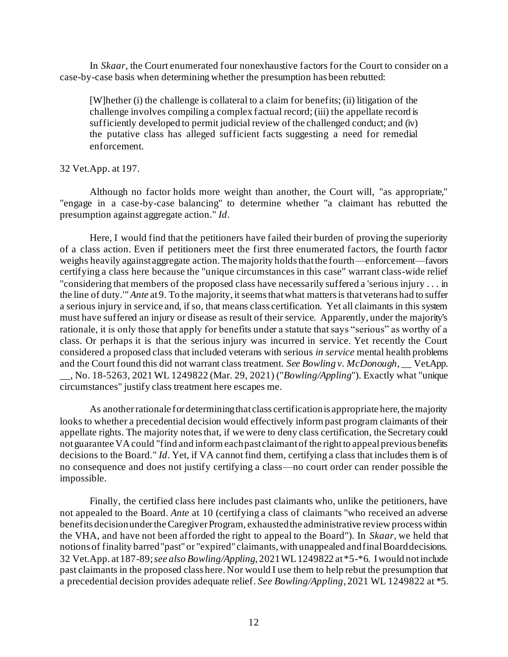In *Skaar*, the Court enumerated four nonexhaustive factors for the Court to consider on a case-by-case basis when determining whether the presumption has been rebutted:

[W]hether (i) the challenge is collateral to a claim for benefits; (ii) litigation of the challenge involves compiling a complex factual record; (iii) the appellate record is sufficiently developed to permit judicial review of the challenged conduct; and (iv) the putative class has alleged sufficient facts suggesting a need for remedial enforcement.

### 32 Vet.App. at 197.

Although no factor holds more weight than another, the Court will, "as appropriate," "engage in a case-by-case balancing" to determine whether "a claimant has rebutted the presumption against aggregate action." *Id*.

Here, I would find that the petitioners have failed their burden of proving the superiority of a class action. Even if petitioners meet the first three enumerated factors, the fourth factor weighs heavily against aggregate action. The majority holds that the fourth—enforcement—favors certifying a class here because the "unique circumstances in this case" warrant class-wide relief "considering that members of the proposed class have necessarily suffered a 'serious injury . . . in the line of duty.'" *Ante* at 9. To the majority, it seems that what matters is that veterans had to suffer a serious injury in service and, if so, that means class certification. Yet all claimants in this system must have suffered an injury or disease as result of their service. Apparently, under the majority's rationale, it is only those that apply for benefits under a statute that says "serious" as worthy of a class. Or perhaps it is that the serious injury was incurred in service. Yet recently the Court considered a proposed class that included veterans with serious *in service* mental health problems and the Court found this did not warrant class treatment. *See Bowling v. McDonough*, \_\_ Vet.App. \_\_, No. 18-5263, 2021 WL 1249822 (Mar. 29, 2021) ("*Bowling/Appling*"). Exactly what "unique circumstances" justify class treatment here escapes me.

As another rationale for determining that class certification is appropriate here, the majority looks to whether a precedential decision would effectively inform past program claimants of their appellate rights. The majority notes that, if we were to deny class certification, the Secretary could not guarantee VA could "find and inform each past claimant of the right to appeal previous benefits decisions to the Board." *Id*. Yet, if VA cannot find them, certifying a class that includes them is of no consequence and does not justify certifying a class—no court order can render possible the impossible.

Finally, the certified class here includes past claimants who, unlike the petitioners, have not appealed to the Board. *Ante* at 10 (certifying a class of claimants "who received an adverse benefits decision under the Caregiver Program, exhausted the administrative review process within the VHA, and have not been afforded the right to appeal to the Board"). In *Skaar*, we held that notions of finality barred "past" or "expired" claimants, with unappealed and final Board decisions. 32 Vet.App. at 187-89; *see also Bowling/Appling*, 2021 WL 1249822 at \*5-\*6. I would not include past claimants in the proposed class here. Nor would I use them to help rebut the presumption that a precedential decision provides adequate relief. *See Bowling/Appling*, 2021 WL 1249822 at \*5.